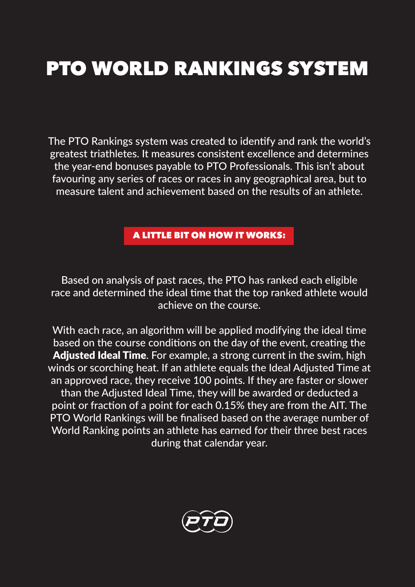# PTO WORLD RANKINGS SYSTEM

The PTO Rankings system was created to identify and rank the world's greatest triathletes. It measures consistent excellence and determines the year-end bonuses payable to PTO Professionals. This isn't about favouring any series of races or races in any geographical area, but to measure talent and achievement based on the results of an athlete.

#### A LITTLE BIT ON HOW IT WORKS:

Based on analysis of past races, the PTO has ranked each eligible race and determined the ideal time that the top ranked athlete would achieve on the course.

With each race, an algorithm will be applied modifying the ideal time based on the course conditions on the day of the event, creating the Adjusted Ideal Time. For example, a strong current in the swim, high winds or scorching heat. If an athlete equals the Ideal Adjusted Time at an approved race, they receive 100 points. If they are faster or slower than the Adjusted Ideal Time, they will be awarded or deducted a point or fraction of a point for each 0.15% they are from the AIT. The PTO World Rankings will be finalised based on the average number of World Ranking points an athlete has earned for their three best races during that calendar year.

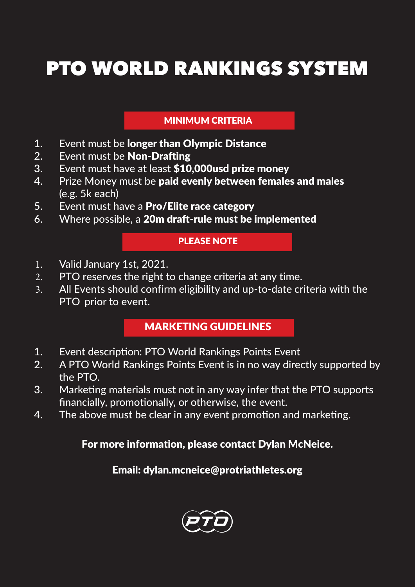## PTO WORLD RANKINGS SYSTEM

#### MINIMUM CRITERIA

- 1. Event must be longer than Olympic Distance
- 2. Event must be Non-Drafting
- 3. Event must have at least \$10,000usd prize money
- 4. Prize Money must be paid evenly between females and males (e.g. 5k each)
- 5. Event must have a Pro/Elite race category
- 6. Where possible, a 20m draft-rule must be implemented

#### PLEASE NOTE

- 1. Valid January 1st, 2021.
- 2. PTO reserves the right to change criteria at any time.
- 3. All Events should confirm eligibility and up-to-date criteria with the PTO prior to event.

### MARKETING GUIDELINES

- 1. Event description: PTO World Rankings Points Event
- 2. A PTO World Rankings Points Event is in no way directly supported by the PTO.
- 3. Marketing materials must not in any way infer that the PTO supports financially, promotionally, or otherwise, the event.
- 4. The above must be clear in any event promotion and marketing.

### For more information, please contact Dylan McNeice.

### Email: dylan.mcneice@protriathletes.org